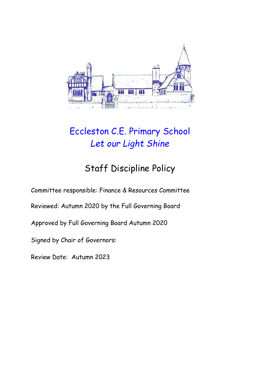

# Eccleston C.E. Primary School *Let our Light Shine*

# Staff Discipline Policy

Committee responsible: Finance & Resources Committee

Reviewed: Autumn 2020 by the Full Governing Board

Approved by Full Governing Board Autumn 2020

Signed by Chair of Governors:

Review Date: Autumn 2023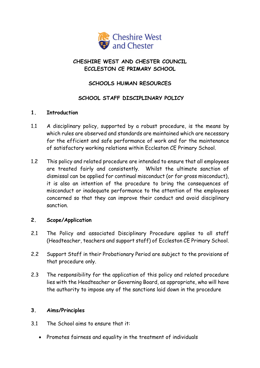

# **CHESHIRE WEST AND CHESTER COUNCIL ECCLESTON CE PRIMARY SCHOOL**

# **SCHOOLS HUMAN RESOURCES**

# **SCHOOL STAFF DISCIPLINARY POLICY**

#### **1. Introduction**

- 1.1 A disciplinary policy, supported by a robust procedure, is the means by which rules are observed and standards are maintained which are necessary for the efficient and safe performance of work and for the maintenance of satisfactory working relations within Eccleston CE Primary School.
- 1.2 This policy and related procedure are intended to ensure that all employees are treated fairly and consistently. Whilst the ultimate sanction of dismissal can be applied for continual misconduct (or for gross misconduct), it is also an intention of the procedure to bring the consequences of misconduct or inadequate performance to the attention of the employees concerned so that they can improve their conduct and avoid disciplinary sanction.

### **2. Scope/Application**

- 2.1 The Policy and associated Disciplinary Procedure applies to all staff (Headteacher, teachers and support staff) of Eccleston CE Primary School.
- 2.2 Support Staff in their Probationary Period are subject to the provisions of that procedure only.
- 2.3 The responsibility for the application of this policy and related procedure lies with the Headteacher or Governing Board, as appropriate, who will have the authority to impose any of the sanctions laid down in the procedure

#### **3. Aims/Principles**

- 3.1 The School aims to ensure that it:
	- Promotes fairness and equality in the treatment of individuals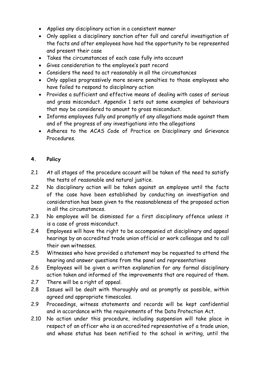- Applies any disciplinary action in a consistent manner
- Only applies a disciplinary sanction after full and careful investigation of the facts and after employees have had the opportunity to be represented and present their case
- Takes the circumstances of each case fully into account
- Gives consideration to the employee's past record
- Considers the need to act reasonably in all the circumstances
- Only applies progressively more severe penalties to those employees who have failed to respond to disciplinary action
- Provides a sufficient and effective means of dealing with cases of serious and gross misconduct. Appendix 1 sets out some examples of behaviours that may be considered to amount to gross misconduct.
- Informs employees fully and promptly of any allegations made against them and of the progress of any investigations into the allegations
- Adheres to the ACAS Code of Practice on Disciplinary and Grievance Procedures.

# **4. Policy**

- 2.1 At all stages of the procedure account will be taken of the need to satisfy the tests of reasonable and natural justice.
- 2.2 No disciplinary action will be taken against an employee until the facts of the case have been established by conducting an investigation and consideration has been given to the reasonableness of the proposed action in all the circumstances.
- 2.3 No employee will be dismissed for a first disciplinary offence unless it is a case of gross misconduct.
- 2.4 Employees will have the right to be accompanied at disciplinary and appeal hearings by an accredited trade union official or work colleague and to call their own witnesses.
- 2.5 Witnesses who have provided a statement may be requested to attend the hearing and answer questions from the panel and representatives
- 2.6 Employees will be given a written explanation for any formal disciplinary action taken and informed of the improvements that are required of them.
- 2.7 There will be a right of appeal.
- 2.8 Issues will be dealt with thoroughly and as promptly as possible, within agreed and appropriate timescales.
- 2.9 Proceedings, witness statements and records will be kept confidential and in accordance with the requirements of the Data Protection Act.
- 2.10 No action under this procedure, including suspension will take place in respect of an officer who is an accredited representative of a trade union, and whose status has been notified to the school in writing, until the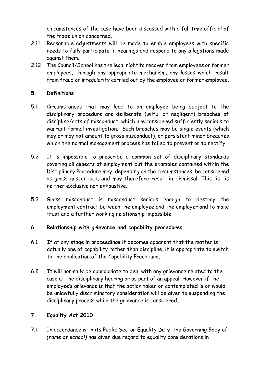circumstances of the case have been discussed with a full time official of the trade union concerned.

- 2.11 Reasonable adjustments will be made to enable employees with specific needs to fully participate in hearings and respond to any allegations made against them.
- 2.12 The Council/School has the legal right to recover from employees or former employees, through any appropriate mechanism, any losses which result from fraud or irregularity carried out by the employee or former employee.

# **5. Definitions**

- 5.1 Circumstances that may lead to an employee being subject to the disciplinary procedure are deliberate (wilful or negligent) breaches of discipline/acts of misconduct, which are considered sufficiently serious to warrant formal investigation. Such breaches may be single events (which may or may not amount to gross misconduct), or persistent minor breaches which the normal management process has failed to prevent or to rectify.
- 5.2 It is impossible to prescribe a common set of disciplinary standards covering all aspects of employment but the examples contained within the Disciplinary Procedure may, depending on the circumstances, be considered as gross misconduct, and may therefore result in dismissal. This list is neither exclusive nor exhaustive.
- 5.3 Gross misconduct is misconduct serious enough to destroy the employment contract between the employee and the employer and to make trust and a further working relationship impossible.

### **6. Relationship with grievance and capability procedures**

- 6.1 If at any stage in proceedings it becomes apparent that the matter is actually one of capability rather than discipline, it is appropriate to switch to the application of the Capability Procedure.
- 6.2 It will normally be appropriate to deal with any grievance related to the case at the disciplinary hearing or as part of an appeal. However if the employee's grievance is that the action taken or contemplated is or would be unlawfully discriminatory consideration will be given to suspending the disciplinary process while the grievance is considered.

# **7. Equality Act 2010**

7.1 In accordance with its Public Sector Equality Duty, the Governing Body of *(name of school)* has given due regard to equality considerations in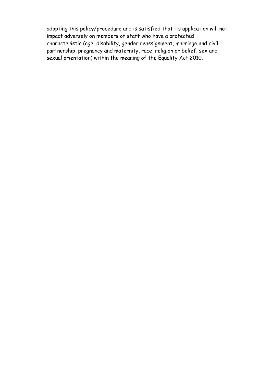adopting this policy/procedure and is satisfied that its application will not impact adversely on members of staff who have a protected characteristic (age, disability, gender reassignment, marriage and civil partnership, pregnancy and maternity, race, religion or belief, sex and sexual orientation) within the meaning of the Equality Act 2010.